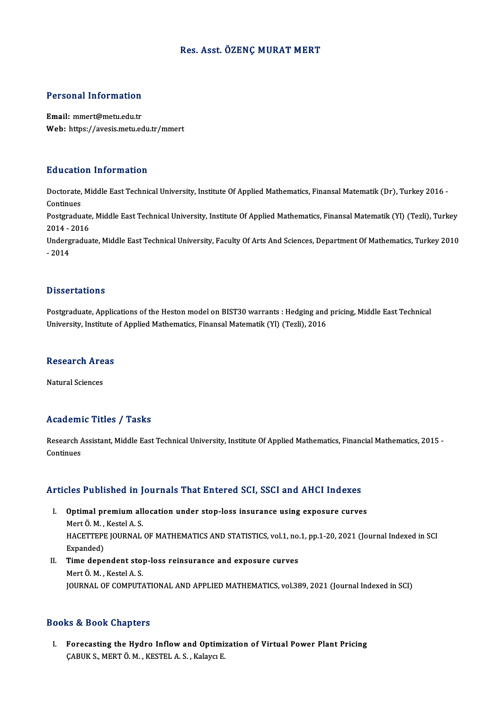#### Res. Asst. ÖZENÇ MURAT MERT

#### Personal Information

Email:mmert@metu.edu.tr Web: https://avesis.metu.edu.tr/mmert

#### Education Information

**Education Information**<br>Doctorate, Middle East Technical University, Institute Of Applied Mathematics, Finansal Matematik (Dr), Turkey 2016 -<br>Continues Doctorate,<br>Continues<br>Postaredus Doctorate, Middle East Technical University, Institute Of Applied Mathematics, Finansal Matematik (Dr), Turkey 2016 -<br>Continues<br>Postgraduate, Middle East Technical University, Institute Of Applied Mathematics, Finansal Mat

Continues<br>Postgraduate<br>2014 - 2016<br>Undergradue Postgraduate, Middle East Technical University, Institute Of Applied Mathematics, Finansal Matematik (Yl) (Tezli), Turkey<br>2014 - 2016<br>Undergraduate, Middle East Technical University, Faculty Of Arts And Sciences, Departmen

2014 - 2016<br>Undergraduate, Middle East Technical University, Faculty Of Arts And Sciences, Department Of Mathematics, Turkey 2010<br>- 2014

#### **Dissertations**

Dissertations<br>Postgraduate, Applications of the Heston model on BIST30 warrants : Hedging and pricing, Middle East Technical<br>University Institute of Applied Methematics, Einangel Metematik (VI) (Tegli), 2016 Disser tatrons<br>Postgraduate, Applications of the Heston model on BIST30 warrants : Hedging and<br>University, Institute of Applied Mathematics, Finansal Matematik (Yl) (Tezli), 2016

### oniversity, institute of the control<br>Research Areas <mark>Research Are</mark><br>Natural Sciences

### Natural Sciences<br>Academic Titles / Tasks

Academic Titles / Tasks<br>Research Assistant, Middle East Technical University, Institute Of Applied Mathematics, Financial Mathematics, 2015 -<br>Continues Research A<br>Continues

# Articles Published in Journals That Entered SCI, SSCI and AHCI Indexes

- rticles Published in Journals That Entered SCI, SSCI and AHCI Indexes<br>I. Optimal premium allocation under stop-loss insurance using exposure curves<br>Mort Ö.M., Kostel A.S. I. Optimal premium allocation under stop-loss insurance using exposure curves Mert Ö.M. . Kestel A.S. HACETTEPE JOURNAL OF MATHEMATICS AND STATISTICS, vol.1, no.1, pp.1-20, 2021 (Journal Indexed in SCI Expanded) HACETTEPE JOURNAL OF MATHEMATICS AND STATISTICS, vol.1, no.<br>Expanded)<br>II. Time dependent stop-loss reinsurance and exposure curves<br>Mort Ö.M. Kostal A.S.
- Expanded)<br>Time dependent sto<sub>l</sub><br>Mert Ö. M. , Kestel A. S.<br>JOUPNAL OF COMBUT/ Mert Ö. M. , Kestel A. S.<br>JOURNAL OF COMPUTATIONAL AND APPLIED MATHEMATICS, vol.389, 2021 (Journal Indexed in SCI)

#### Books&Book Chapters

I. Forecasting the Hydro Inflowand Optimization of Virtual Power Plant Pricing ÇABUK S., MERTÖ. M., KESTEL A. S., Kalaycı E.